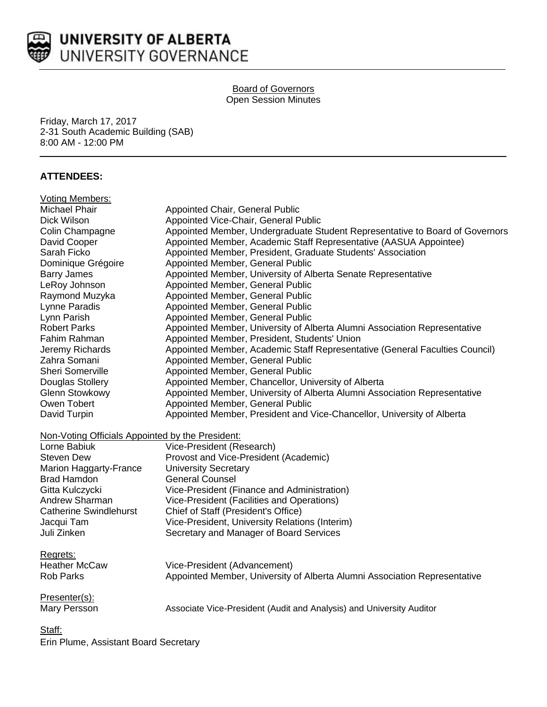

# Board of Governors Open Session Minutes

Friday, March 17, 2017 2-31 South Academic Building (SAB) 8:00 AM - 12:00 PM

## **ATTENDEES:**

| <b>Voting Members:</b>                           |                                                                              |
|--------------------------------------------------|------------------------------------------------------------------------------|
| Michael Phair                                    | Appointed Chair, General Public                                              |
| Dick Wilson                                      | Appointed Vice-Chair, General Public                                         |
| Colin Champagne                                  | Appointed Member, Undergraduate Student Representative to Board of Governors |
| David Cooper                                     | Appointed Member, Academic Staff Representative (AASUA Appointee)            |
| Sarah Ficko                                      | Appointed Member, President, Graduate Students' Association                  |
| Dominique Grégoire                               | Appointed Member, General Public                                             |
| <b>Barry James</b>                               | Appointed Member, University of Alberta Senate Representative                |
| LeRoy Johnson                                    | Appointed Member, General Public                                             |
| Raymond Muzyka                                   | Appointed Member, General Public                                             |
| Lynne Paradis                                    | Appointed Member, General Public                                             |
| Lynn Parish                                      | Appointed Member, General Public                                             |
| <b>Robert Parks</b>                              | Appointed Member, University of Alberta Alumni Association Representative    |
| Fahim Rahman                                     | Appointed Member, President, Students' Union                                 |
| Jeremy Richards                                  | Appointed Member, Academic Staff Representative (General Faculties Council)  |
| Zahra Somani                                     | Appointed Member, General Public                                             |
| <b>Sheri Somerville</b>                          | Appointed Member, General Public                                             |
| Douglas Stollery                                 | Appointed Member, Chancellor, University of Alberta                          |
| Glenn Stowkowy                                   | Appointed Member, University of Alberta Alumni Association Representative    |
| Owen Tobert                                      | Appointed Member, General Public                                             |
| David Turpin                                     | Appointed Member, President and Vice-Chancellor, University of Alberta       |
| Non-Voting Officials Appointed by the President: |                                                                              |
| Lorne Babiuk                                     | Vice-President (Research)                                                    |
| <b>Steven Dew</b>                                | Provost and Vice-President (Academic)                                        |
| Marion Haggarty-France                           | <b>University Secretary</b>                                                  |
| <b>Brad Hamdon</b>                               | <b>General Counsel</b>                                                       |
| Gitta Kulczycki                                  | Vice-President (Finance and Administration)                                  |
| Andrew Sharman                                   | Vice-President (Facilities and Operations)                                   |
| <b>Catherine Swindlehurst</b>                    | Chief of Staff (President's Office)                                          |
| Jacqui Tam                                       | Vice-President, University Relations (Interim)                               |
| Juli Zinken                                      | Secretary and Manager of Board Services                                      |
| Regrets:                                         |                                                                              |
| <b>Heather McCaw</b>                             | Vice-President (Advancement)                                                 |
| <b>Rob Parks</b>                                 | Appointed Member, University of Alberta Alumni Association Representative    |
| Presenter(s):                                    |                                                                              |
| Mary Persson                                     | Associate Vice-President (Audit and Analysis) and University Auditor         |
| Staff:                                           |                                                                              |

Erin Plume, Assistant Board Secretary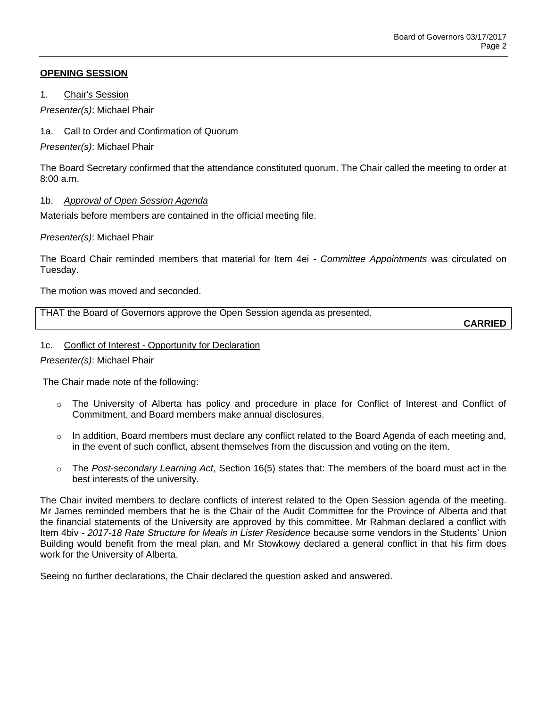## **OPENING SESSION**

1. Chair's Session

*Presenter(s)*: Michael Phair

## 1a. Call to Order and Confirmation of Quorum

*Presenter(s)*: Michael Phair

The Board Secretary confirmed that the attendance constituted quorum. The Chair called the meeting to order at 8:00 a.m.

## 1b. *Approval of Open Session Agenda*

Materials before members are contained in the official meeting file.

#### *Presenter(s)*: Michael Phair

The Board Chair reminded members that material for Item 4ei - *Committee Appointments* was circulated on Tuesday.

The motion was moved and seconded.

THAT the Board of Governors approve the Open Session agenda as presented.

**CARRIED**

#### 1c. Conflict of Interest - Opportunity for Declaration

*Presenter(s)*: Michael Phair

The Chair made note of the following:

- o The University of Alberta has policy and procedure in place for Conflict of Interest and Conflict of Commitment, and Board members make annual disclosures.
- $\circ$  In addition, Board members must declare any conflict related to the Board Agenda of each meeting and, in the event of such conflict, absent themselves from the discussion and voting on the item.
- o The *Post-secondary Learning Act*, Section 16(5) states that: The members of the board must act in the best interests of the university.

The Chair invited members to declare conflicts of interest related to the Open Session agenda of the meeting. Mr James reminded members that he is the Chair of the Audit Committee for the Province of Alberta and that the financial statements of the University are approved by this committee. Mr Rahman declared a conflict with Item 4biv - *2017-18 Rate Structure for Meals in Lister Residence* because some vendors in the Students' Union Building would benefit from the meal plan, and Mr Stowkowy declared a general conflict in that his firm does work for the University of Alberta.

Seeing no further declarations, the Chair declared the question asked and answered.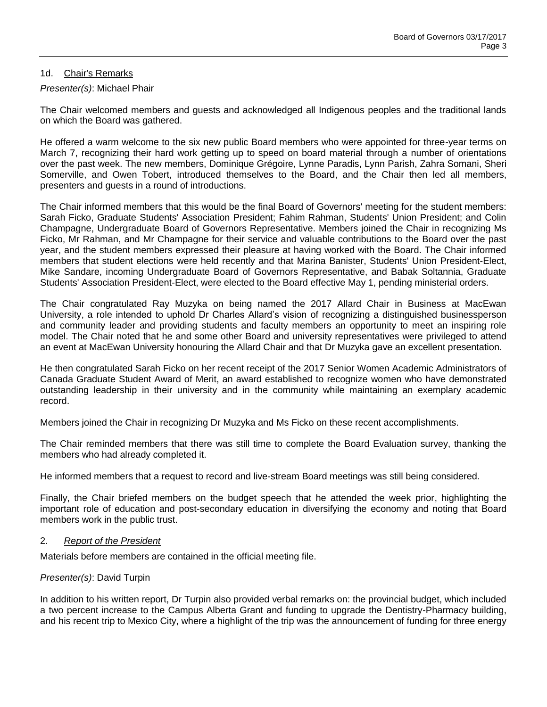#### 1d. Chair's Remarks

## *Presenter(s)*: Michael Phair

The Chair welcomed members and guests and acknowledged all Indigenous peoples and the traditional lands on which the Board was gathered.

He offered a warm welcome to the six new public Board members who were appointed for three-year terms on March 7, recognizing their hard work getting up to speed on board material through a number of orientations over the past week. The new members, Dominique Grégoire, Lynne Paradis, Lynn Parish, Zahra Somani, Sheri Somerville, and Owen Tobert, introduced themselves to the Board, and the Chair then led all members, presenters and guests in a round of introductions.

The Chair informed members that this would be the final Board of Governors' meeting for the student members: Sarah Ficko, Graduate Students' Association President; Fahim Rahman, Students' Union President; and Colin Champagne, Undergraduate Board of Governors Representative. Members joined the Chair in recognizing Ms Ficko, Mr Rahman, and Mr Champagne for their service and valuable contributions to the Board over the past year, and the student members expressed their pleasure at having worked with the Board. The Chair informed members that student elections were held recently and that Marina Banister, Students' Union President-Elect, Mike Sandare, incoming Undergraduate Board of Governors Representative, and Babak Soltannia, Graduate Students' Association President-Elect, were elected to the Board effective May 1, pending ministerial orders.

The Chair congratulated Ray Muzyka on being named the 2017 Allard Chair in Business at MacEwan University, a role intended to uphold Dr Charles Allard's vision of recognizing a distinguished businessperson and community leader and providing students and faculty members an opportunity to meet an inspiring role model. The Chair noted that he and some other Board and university representatives were privileged to attend an event at MacEwan University honouring the Allard Chair and that Dr Muzyka gave an excellent presentation.

He then congratulated Sarah Ficko on her recent receipt of the 2017 Senior Women Academic Administrators of Canada Graduate Student Award of Merit, an award established to recognize women who have demonstrated outstanding leadership in their university and in the community while maintaining an exemplary academic record.

Members joined the Chair in recognizing Dr Muzyka and Ms Ficko on these recent accomplishments.

The Chair reminded members that there was still time to complete the Board Evaluation survey, thanking the members who had already completed it.

He informed members that a request to record and live-stream Board meetings was still being considered.

Finally, the Chair briefed members on the budget speech that he attended the week prior, highlighting the important role of education and post-secondary education in diversifying the economy and noting that Board members work in the public trust.

#### 2. *Report of the President*

Materials before members are contained in the official meeting file.

#### *Presenter(s)*: David Turpin

In addition to his written report, Dr Turpin also provided verbal remarks on: the provincial budget, which included a two percent increase to the Campus Alberta Grant and funding to upgrade the Dentistry-Pharmacy building, and his recent trip to Mexico City, where a highlight of the trip was the announcement of funding for three energy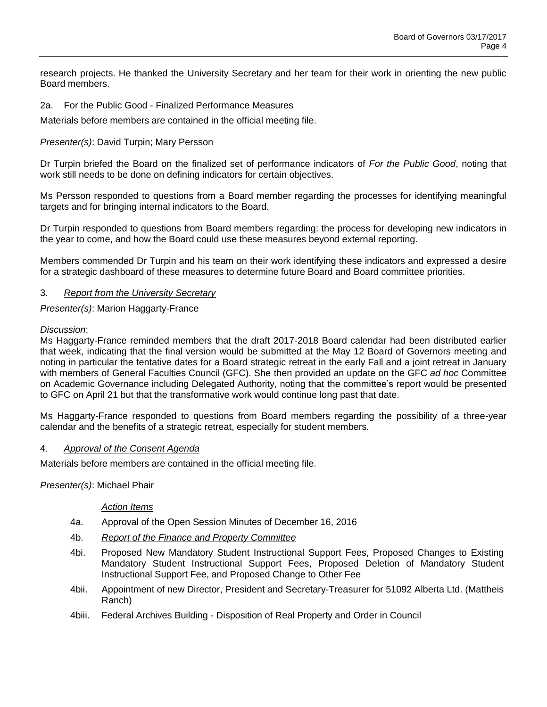research projects. He thanked the University Secretary and her team for their work in orienting the new public Board members.

### 2a. For the Public Good - Finalized Performance Measures

Materials before members are contained in the official meeting file.

## *Presenter(s)*: David Turpin; Mary Persson

Dr Turpin briefed the Board on the finalized set of performance indicators of *For the Public Good*, noting that work still needs to be done on defining indicators for certain objectives.

Ms Persson responded to questions from a Board member regarding the processes for identifying meaningful targets and for bringing internal indicators to the Board.

Dr Turpin responded to questions from Board members regarding: the process for developing new indicators in the year to come, and how the Board could use these measures beyond external reporting.

Members commended Dr Turpin and his team on their work identifying these indicators and expressed a desire for a strategic dashboard of these measures to determine future Board and Board committee priorities.

#### 3. *Report from the University Secretary*

*Presenter(s)*: Marion Haggarty-France

#### *Discussion*:

Ms Haggarty-France reminded members that the draft 2017-2018 Board calendar had been distributed earlier that week, indicating that the final version would be submitted at the May 12 Board of Governors meeting and noting in particular the tentative dates for a Board strategic retreat in the early Fall and a joint retreat in January with members of General Faculties Council (GFC). She then provided an update on the GFC *ad hoc* Committee on Academic Governance including Delegated Authority, noting that the committee's report would be presented to GFC on April 21 but that the transformative work would continue long past that date.

Ms Haggarty-France responded to questions from Board members regarding the possibility of a three-year calendar and the benefits of a strategic retreat, especially for student members.

#### 4. *Approval of the Consent Agenda*

Materials before members are contained in the official meeting file.

*Presenter(s)*: Michael Phair

#### *Action Items*

- 4a. Approval of the Open Session Minutes of December 16, 2016
- 4b. *Report of the Finance and Property Committee*
- 4bi. Proposed New Mandatory Student Instructional Support Fees, Proposed Changes to Existing Mandatory Student Instructional Support Fees, Proposed Deletion of Mandatory Student Instructional Support Fee, and Proposed Change to Other Fee
- 4bii. Appointment of new Director, President and Secretary-Treasurer for 51092 Alberta Ltd. (Mattheis Ranch)
- 4biii. Federal Archives Building Disposition of Real Property and Order in Council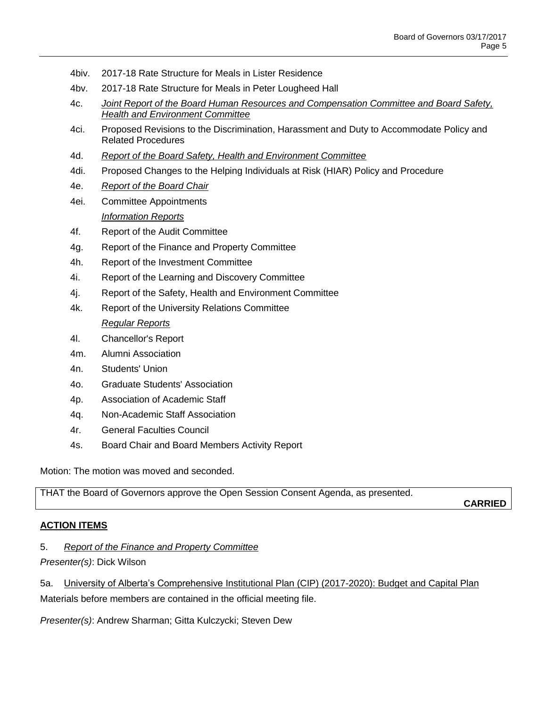- 4biv. 2017-18 Rate Structure for Meals in Lister Residence
- 4bv. 2017-18 Rate Structure for Meals in Peter Lougheed Hall
- 4c. *Joint Report of the Board Human Resources and Compensation Committee and Board Safety, Health and Environment Committee*
- 4ci. Proposed Revisions to the Discrimination, Harassment and Duty to Accommodate Policy and Related Procedures
- 4d. *Report of the Board Safety, Health and Environment Committee*
- 4di. Proposed Changes to the Helping Individuals at Risk (HIAR) Policy and Procedure
- 4e. *Report of the Board Chair*
- 4ei. Committee Appointments *Information Reports*
- 4f. Report of the Audit Committee
- 4g. Report of the Finance and Property Committee
- 4h. Report of the Investment Committee
- 4i. Report of the Learning and Discovery Committee
- 4j. Report of the Safety, Health and Environment Committee
- 4k. Report of the University Relations Committee *Regular Reports*
- 4l. Chancellor's Report
- 4m. Alumni Association
- 4n. Students' Union
- 4o. Graduate Students' Association
- 4p. Association of Academic Staff
- 4q. Non-Academic Staff Association
- 4r. General Faculties Council
- 4s. Board Chair and Board Members Activity Report

Motion: The motion was moved and seconded.

THAT the Board of Governors approve the Open Session Consent Agenda, as presented.

**CARRIED**

#### **ACTION ITEMS**

#### 5. *Report of the Finance and Property Committee*

*Presenter(s)*: Dick Wilson

5a. University of Alberta's Comprehensive Institutional Plan (CIP) (2017-2020): Budget and Capital Plan Materials before members are contained in the official meeting file.

*Presenter(s)*: Andrew Sharman; Gitta Kulczycki; Steven Dew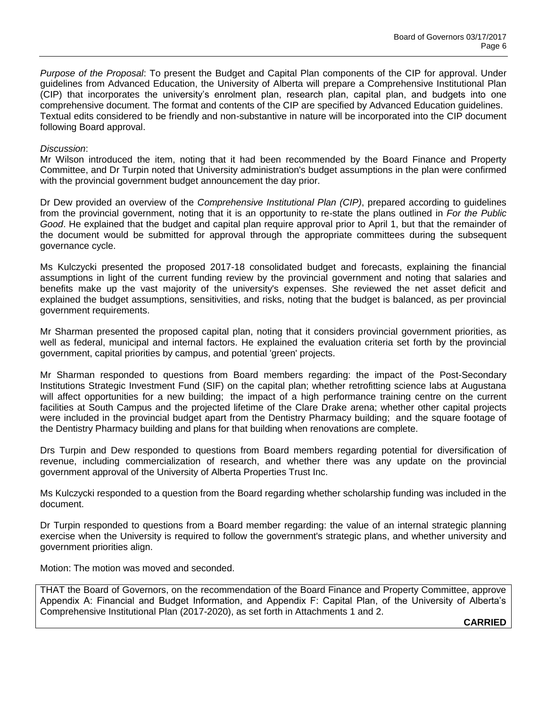*Purpose of the Proposal*: To present the Budget and Capital Plan components of the CIP for approval. Under guidelines from Advanced Education, the University of Alberta will prepare a Comprehensive Institutional Plan (CIP) that incorporates the university's enrolment plan, research plan, capital plan, and budgets into one comprehensive document. The format and contents of the CIP are specified by Advanced Education guidelines. Textual edits considered to be friendly and non-substantive in nature will be incorporated into the CIP document following Board approval.

#### *Discussion*:

Mr Wilson introduced the item, noting that it had been recommended by the Board Finance and Property Committee, and Dr Turpin noted that University administration's budget assumptions in the plan were confirmed with the provincial government budget announcement the day prior.

Dr Dew provided an overview of the *Comprehensive Institutional Plan (CIP)*, prepared according to guidelines from the provincial government, noting that it is an opportunity to re-state the plans outlined in *For the Public Good*. He explained that the budget and capital plan require approval prior to April 1, but that the remainder of the document would be submitted for approval through the appropriate committees during the subsequent governance cycle.

Ms Kulczycki presented the proposed 2017-18 consolidated budget and forecasts, explaining the financial assumptions in light of the current funding review by the provincial government and noting that salaries and benefits make up the vast majority of the university's expenses. She reviewed the net asset deficit and explained the budget assumptions, sensitivities, and risks, noting that the budget is balanced, as per provincial government requirements.

Mr Sharman presented the proposed capital plan, noting that it considers provincial government priorities, as well as federal, municipal and internal factors. He explained the evaluation criteria set forth by the provincial government, capital priorities by campus, and potential 'green' projects.

Mr Sharman responded to questions from Board members regarding: the impact of the Post-Secondary Institutions Strategic Investment Fund (SIF) on the capital plan; whether retrofitting science labs at Augustana will affect opportunities for a new building; the impact of a high performance training centre on the current facilities at South Campus and the projected lifetime of the Clare Drake arena; whether other capital projects were included in the provincial budget apart from the Dentistry Pharmacy building; and the square footage of the Dentistry Pharmacy building and plans for that building when renovations are complete.

Drs Turpin and Dew responded to questions from Board members regarding potential for diversification of revenue, including commercialization of research, and whether there was any update on the provincial government approval of the University of Alberta Properties Trust Inc.

Ms Kulczycki responded to a question from the Board regarding whether scholarship funding was included in the document.

Dr Turpin responded to questions from a Board member regarding: the value of an internal strategic planning exercise when the University is required to follow the government's strategic plans, and whether university and government priorities align.

Motion: The motion was moved and seconded.

THAT the Board of Governors, on the recommendation of the Board Finance and Property Committee, approve Appendix A: Financial and Budget Information, and Appendix F: Capital Plan, of the University of Alberta's Comprehensive Institutional Plan (2017-2020), as set forth in Attachments 1 and 2.

**CARRIED**